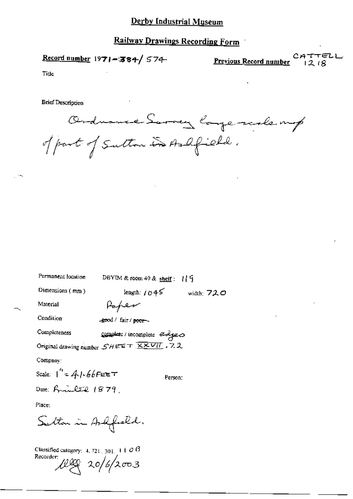### Derby Industrial Museum

### Railway Drawings Recording Form

Record number 1971-384/ 574-

Previous Record number

CATTELL  $1218$ 

Tide

**Brief Description** 

Ordnance Survey large reale mp of part of Sulton in As Ofield.

| Permanent location                                         | DBYIM & room 49 & shelf: $1\frac{1}{9}$ |              |
|------------------------------------------------------------|-----------------------------------------|--------------|
| Dimensions (mm)                                            | length: $j \odot 45$                    | width: $720$ |
| Material                                                   | Paper                                   |              |
| Condition                                                  | good / fair / poor                      |              |
| Completeness                                               | complete / incomplete التجميع           |              |
| Original drawing number $SHEET$ $\overline{XXVII}$ , 7, 2, |                                         |              |
| Company:                                                   |                                         |              |
| Scale: $1' = 4/66$ FEET                                    | Person:                                 |              |
| Date: Fricult $1879$                                       |                                         |              |
| Place:                                                     |                                         |              |
| Sulton in Ardfeald.                                        |                                         |              |
|                                                            |                                         |              |

Classified category: 4, 721, 301, 1 |  $\varnothing$   $\beta$ Recorder: 1200 20/6/2003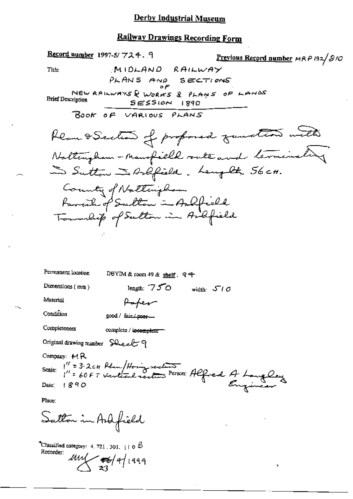## Derby Industrial Museum

# Railway Drawings Recording Form

| Record number 1997-5/ フスチ. 9<br>Previous Record number MRP 132/S10                  |
|-------------------------------------------------------------------------------------|
| MIDLAND RAILWAY<br>Title                                                            |
| PLANS AND SECTIONS                                                                  |
| NEW RAILWAYS & WORKS & PLANS OF LANDS<br><b>Brief Description</b><br>$SESSION$ 1890 |
| BOOK OF VARIOUS PLANS                                                               |
| Klan I Section of proformed fundion with                                            |
| Nattingham - Mansfield suite and terminating                                        |
| In Sutton Is Arlifield. Langelt 56 cm.                                              |
| County of Natterigham                                                               |
| Farrich of Sulton in Andfield                                                       |
| Township of Sulton in Artifield                                                     |
|                                                                                     |
|                                                                                     |
|                                                                                     |
| Permanent location<br>DBYIM & room 49 & shelf: 94                                   |
| Dimensions (mm)<br>length: $750$<br>width: $510$                                    |
| Material<br>Haper                                                                   |
| Condition<br>$good /$ $Bir / posf$                                                  |
| Completeness<br>complete / incomplete-                                              |
| Original drawing number Sheelt 9                                                    |
| Company: $M$ R                                                                      |
|                                                                                     |
| Company: MK<br>Scale: 1" = 3.2cm Plum/Horing recellent Refred A Language            |
| Place:                                                                              |
| Satton in Ard field                                                                 |

 $\mathbf{\hat{a}}$ 

"Classified category:  $4.721.301.$   $\pm 0.6$ Recorder:

 $444$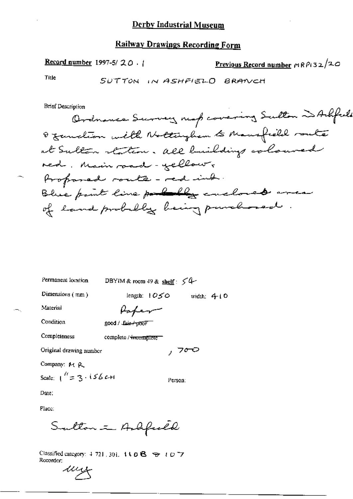#### **Railway Drawings Recording Form**

Record number 1997-5/ $20.1$ 

Previous Record number  $\mu$ RPi32/20

Title

SUTTON IN ASHFIELD BRANCH

**Brief Description** 

Ordnance Survey map covering Sulton and Arbfuls 8 function with Nottingham to Mansfield route at Sulton station. all buildings coloured red. Main rand - yellow, Proponed route-red ind. Blue paint line pourly cuclous area of land probably being purchased.

Permanent location

DBYIM & room  $49$  & shelf:  $54$ 

Dimensions (mm)

length:  $1050$  width: 410

, 700

Person:

Material

Rahen good / fair/ptfor

Condition Completeness

complete / incomplete

Original drawing number

Company: M R

Scale:  $1'' = 3.156$  C+1

Date:

Place:

Sulton - Andfuld

Classified category: 4-721, 301, 110B + t D 7 Recorder:

uy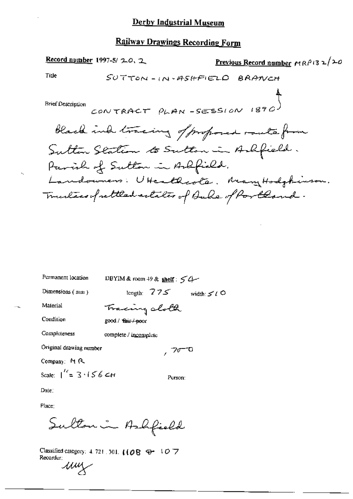## Railway Drawings Recording Form

| Permanent location             | DBYIM & room 49 & shelf: $54$      |
|--------------------------------|------------------------------------|
| Dimensions (mm)                | length: $775$<br>width: $\leq t$ O |
| Material                       | Tracing sloth                      |
| Condition                      | good / that / poor                 |
| Completeness                   | complete / incomplete              |
| Original drawing number        | $10^{-0}$                          |
| Company: MR                    |                                    |
| Scale: $1^{\prime} = 3.156$ CH | Person:                            |

Date:

Place:

Sulton in Ashfield

Classified category: 4, 721, 301,  $[(\mathcal{O} \boxtimes \oplus -1 \mathcal{O} \boxtimes$ Recorder: um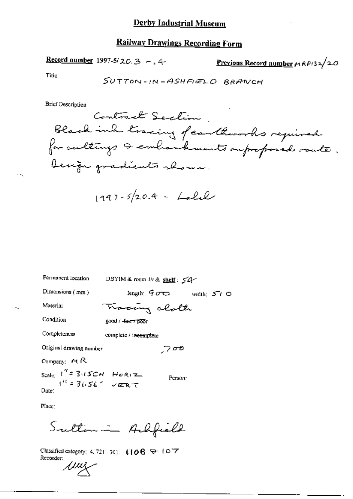## **Railway Drawings Recording Form**

Record number 1997-5/20.3 -. 4-

Previous Record number  $\mu$  RP(32/20

Title

**Brief Description** 

$$
1997-5/20.4 - Lalel
$$

Permanent location DBYIM & room 49 & shelf: 54 length:  $900$  width:  $500$ Dimensions (mm) Tracing alolk Material Condition good / fair / poor Completeness complete / incomplete Original drawing number  $700$ Company: MR Scale:  $\int_{0}^{\pi} 3\sqrt{5}$ CH Horiz Person: Date:

Place:

Sulton in Arhfield

Classified category: 4, 721, 301, 1108 9-107 Recorder:

<u>jui</u>z